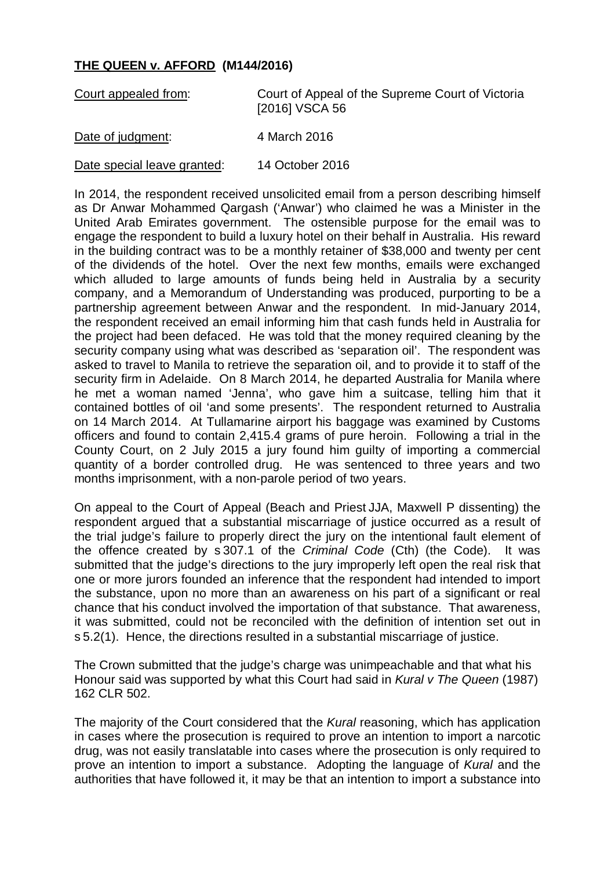## **THE QUEEN v. AFFORD (M144/2016)**

| Court appealed from:        | Court of Appeal of the Supreme Court of Victoria<br>[2016] VSCA 56 |
|-----------------------------|--------------------------------------------------------------------|
| Date of judgment:           | 4 March 2016                                                       |
| Date special leave granted: | 14 October 2016                                                    |

In 2014, the respondent received unsolicited email from a person describing himself as Dr Anwar Mohammed Qargash ('Anwar') who claimed he was a Minister in the United Arab Emirates government. The ostensible purpose for the email was to engage the respondent to build a luxury hotel on their behalf in Australia. His reward in the building contract was to be a monthly retainer of \$38,000 and twenty per cent of the dividends of the hotel. Over the next few months, emails were exchanged which alluded to large amounts of funds being held in Australia by a security company, and a Memorandum of Understanding was produced, purporting to be a partnership agreement between Anwar and the respondent. In mid-January 2014, the respondent received an email informing him that cash funds held in Australia for the project had been defaced. He was told that the money required cleaning by the security company using what was described as 'separation oil'. The respondent was asked to travel to Manila to retrieve the separation oil, and to provide it to staff of the security firm in Adelaide. On 8 March 2014, he departed Australia for Manila where he met a woman named 'Jenna', who gave him a suitcase, telling him that it contained bottles of oil 'and some presents'. The respondent returned to Australia on 14 March 2014. At Tullamarine airport his baggage was examined by Customs officers and found to contain 2,415.4 grams of pure heroin. Following a trial in the County Court, on 2 July 2015 a jury found him guilty of importing a commercial quantity of a border controlled drug. He was sentenced to three years and two months imprisonment, with a non-parole period of two years.

On appeal to the Court of Appeal (Beach and Priest JJA, Maxwell P dissenting) the respondent argued that a substantial miscarriage of justice occurred as a result of the trial judge's failure to properly direct the jury on the intentional fault element of the offence created by s 307.1 of the *Criminal Code* (Cth) (the Code). It was submitted that the judge's directions to the jury improperly left open the real risk that one or more jurors founded an inference that the respondent had intended to import the substance, upon no more than an awareness on his part of a significant or real chance that his conduct involved the importation of that substance. That awareness, it was submitted, could not be reconciled with the definition of intention set out in s 5.2(1). Hence, the directions resulted in a substantial miscarriage of justice.

The Crown submitted that the judge's charge was unimpeachable and that what his Honour said was supported by what this Court had said in *Kural v The Queen* (1987) 162 CLR 502.

The majority of the Court considered that the *Kural* reasoning, which has application in cases where the prosecution is required to prove an intention to import a narcotic drug, was not easily translatable into cases where the prosecution is only required to prove an intention to import a substance. Adopting the language of *Kural* and the authorities that have followed it, it may be that an intention to import a substance into